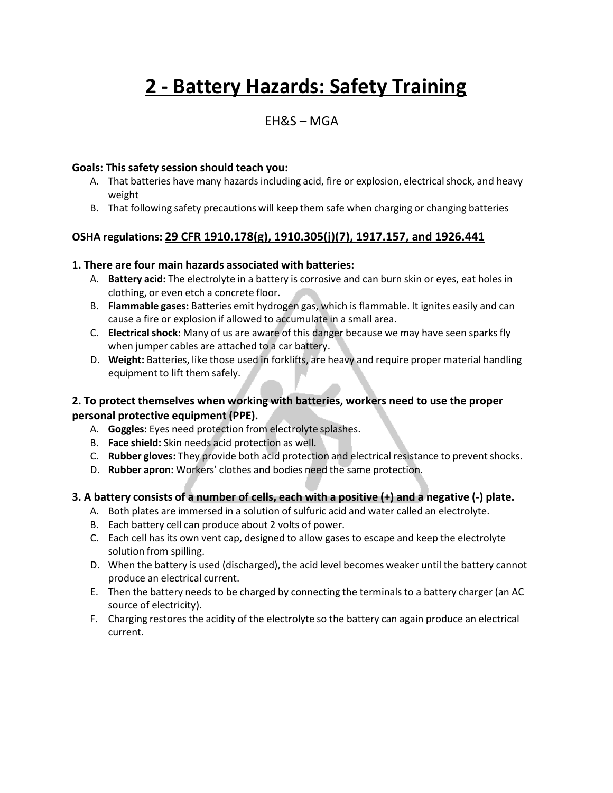# **2 - Battery Hazards: Safety Training**

# EH&S – MGA

#### **Goals: This safety session should teach you:**

- A. That batteries have many hazards including acid, fire or explosion, electrical shock, and heavy weight
- B. That following safety precautions will keep them safe when charging or changing batteries

## **OSHA regulations: 29 CFR 1910.178(g), 1910.305(j)(7), 1917.157, and 1926.441**

#### **1. There are four main hazards associated with batteries:**

- A. **Battery acid:** The electrolyte in a battery is corrosive and can burn skin or eyes, eat holes in clothing, or even etch a concrete floor.
- B. **Flammable gases:** Batteries emit hydrogen gas, which is flammable. It ignites easily and can cause a fire or explosion if allowed to accumulate in a small area.
- C. **Electrical shock:** Many of us are aware of this danger because we may have seen sparks fly when jumper cables are attached to a car battery.
- D. **Weight:** Batteries, like those used in forklifts, are heavy and require proper material handling equipment to lift them safely.

## **2. To protect themselves when working with batteries, workers need to use the proper personal protective equipment (PPE).**

- A. **Goggles:** Eyes need protection from electrolyte splashes.
- B. **Face shield:** Skin needs acid protection as well.
- C. **Rubber gloves:** They provide both acid protection and electrical resistance to preventshocks.
- D. **Rubber apron:** Workers' clothes and bodies need the same protection.

## **3. A battery consists of a number of cells, each with a positive (+) and a negative (-) plate.**

- A. Both plates are immersed in a solution of sulfuric acid and water called an electrolyte.
- B. Each battery cell can produce about 2 volts of power.
- C. Each cell has its own vent cap, designed to allow gases to escape and keep the electrolyte solution from spilling.
- D. When the battery is used (discharged), the acid level becomes weaker until the battery cannot produce an electrical current.
- E. Then the battery needs to be charged by connecting the terminals to a battery charger (an AC source of electricity).
- F. Charging restores the acidity of the electrolyte so the battery can again produce an electrical current.